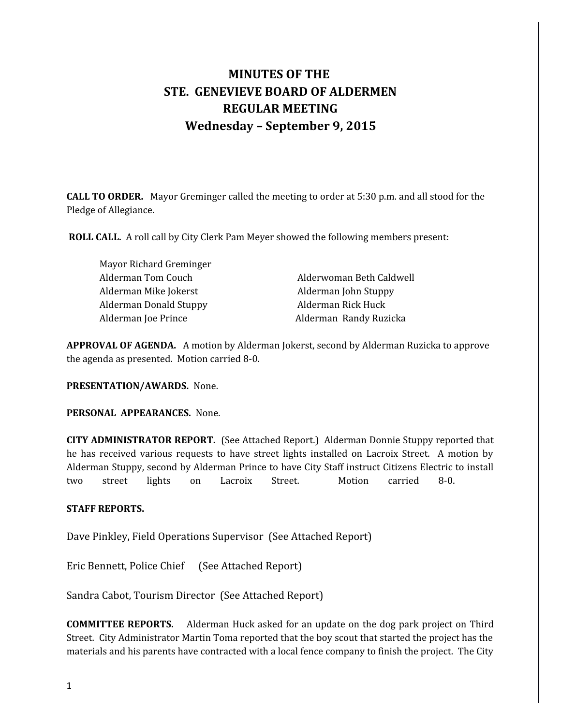# **MINUTES OF THE STE. GENEVIEVE BOARD OF ALDERMEN REGULAR MEETING Wednesday – September 9, 2015**

**CALL TO ORDER.** Mayor Greminger called the meeting to order at 5:30 p.m. and all stood for the Pledge of Allegiance.

 **ROLL CALL.** A roll call by City Clerk Pam Meyer showed the following members present:

Mayor Richard Greminger Alderman Mike Jokerst **Alderman John Stuppy** Alderman Donald Stuppy Alderman Rick Huck Alderman Joe Prince **Alderman Randy Ruzicka** 

Alderman Tom Couch **Alderwoman Beth Caldwell** 

**APPROVAL OF AGENDA.** A motion by Alderman Jokerst, second by Alderman Ruzicka to approve the agenda as presented. Motion carried 8-0.

**PRESENTATION/AWARDS.** None.

**PERSONAL APPEARANCES.** None.

**CITY ADMINISTRATOR REPORT.** (See Attached Report.) Alderman Donnie Stuppy reported that he has received various requests to have street lights installed on Lacroix Street. A motion by Alderman Stuppy, second by Alderman Prince to have City Staff instruct Citizens Electric to install two street lights on Lacroix Street. Motion carried 8-0.

## **STAFF REPORTS.**

Dave Pinkley, Field Operations Supervisor (See Attached Report)

Eric Bennett, Police Chief (See Attached Report)

Sandra Cabot, Tourism Director (See Attached Report)

**COMMITTEE REPORTS.** Alderman Huck asked for an update on the dog park project on Third Street. City Administrator Martin Toma reported that the boy scout that started the project has the materials and his parents have contracted with a local fence company to finish the project. The City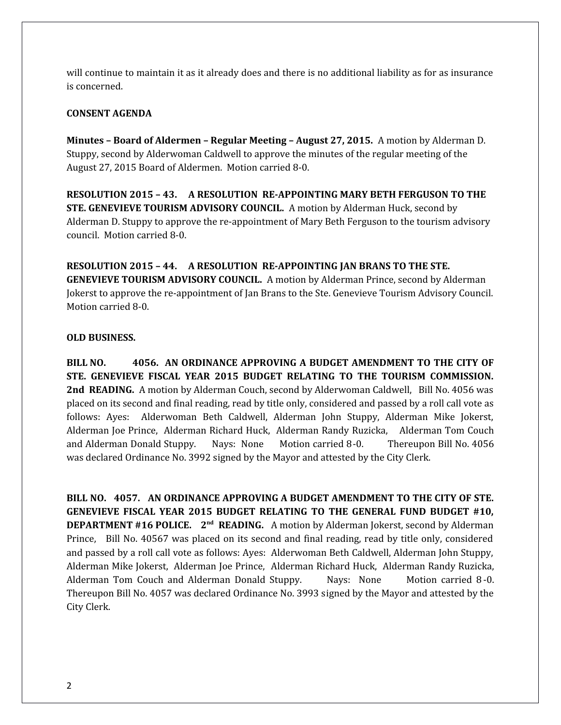will continue to maintain it as it already does and there is no additional liability as for as insurance is concerned.

## **CONSENT AGENDA**

**Minutes – Board of Aldermen – Regular Meeting – August 27, 2015.** A motion by Alderman D. Stuppy, second by Alderwoman Caldwell to approve the minutes of the regular meeting of the August 27, 2015 Board of Aldermen. Motion carried 8-0.

**RESOLUTION 2015 – 43. A RESOLUTION RE-APPOINTING MARY BETH FERGUSON TO THE STE. GENEVIEVE TOURISM ADVISORY COUNCIL.** A motion by Alderman Huck, second by Alderman D. Stuppy to approve the re-appointment of Mary Beth Ferguson to the tourism advisory council. Motion carried 8-0.

**RESOLUTION 2015 – 44. A RESOLUTION RE-APPOINTING JAN BRANS TO THE STE. GENEVIEVE TOURISM ADVISORY COUNCIL.** A motion by Alderman Prince, second by Alderman Jokerst to approve the re-appointment of Jan Brans to the Ste. Genevieve Tourism Advisory Council. Motion carried 8-0.

## **OLD BUSINESS.**

**BILL NO. 4056. AN ORDINANCE APPROVING A BUDGET AMENDMENT TO THE CITY OF STE. GENEVIEVE FISCAL YEAR 2015 BUDGET RELATING TO THE TOURISM COMMISSION.** 2nd READING. A motion by Alderman Couch, second by Alderwoman Caldwell, Bill No. 4056 was placed on its second and final reading, read by title only, considered and passed by a roll call vote as follows: Ayes: Alderwoman Beth Caldwell, Alderman John Stuppy, Alderman Mike Jokerst, Alderman Joe Prince, Alderman Richard Huck, Alderman Randy Ruzicka, Alderman Tom Couch and Alderman Donald Stuppy. Nays: None Motion carried 8-0. Thereupon Bill No. 4056 was declared Ordinance No. 3992 signed by the Mayor and attested by the City Clerk.

**BILL NO. 4057. AN ORDINANCE APPROVING A BUDGET AMENDMENT TO THE CITY OF STE. GENEVIEVE FISCAL YEAR 2015 BUDGET RELATING TO THE GENERAL FUND BUDGET #10, DEPARTMENT #16 POLICE. 2nd READING.** A motion by Alderman Jokerst, second by Alderman Prince, Bill No. 40567 was placed on its second and final reading, read by title only, considered and passed by a roll call vote as follows: Ayes: Alderwoman Beth Caldwell, Alderman John Stuppy, Alderman Mike Jokerst, Alderman Joe Prince, Alderman Richard Huck, Alderman Randy Ruzicka, Alderman Tom Couch and Alderman Donald Stuppy. Nays: None Motion carried 8 -0. Thereupon Bill No. 4057 was declared Ordinance No. 3993 signed by the Mayor and attested by the City Clerk.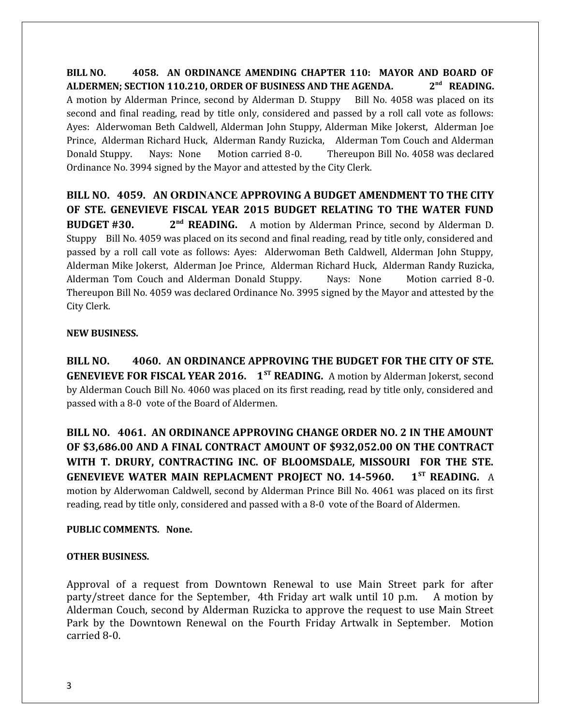**BILL NO. 4058. AN ORDINANCE AMENDING CHAPTER 110: MAYOR AND BOARD OF ALDERMEN; SECTION 110.210, ORDER OF BUSINESS AND THE AGENDA. 2 nd READING.** A motion by Alderman Prince, second by Alderman D. Stuppy Bill No. 4058 was placed on its second and final reading, read by title only, considered and passed by a roll call vote as follows: Ayes: Alderwoman Beth Caldwell, Alderman John Stuppy, Alderman Mike Jokerst, Alderman Joe Prince, Alderman Richard Huck, Alderman Randy Ruzicka, Alderman Tom Couch and Alderman Donald Stuppy. Nays: None Motion carried 8-0. Thereupon Bill No. 4058 was declared Ordinance No. 3994 signed by the Mayor and attested by the City Clerk.

**BILL NO. 4059. AN ORDINANCE APPROVING A BUDGET AMENDMENT TO THE CITY OF STE. GENEVIEVE FISCAL YEAR 2015 BUDGET RELATING TO THE WATER FUND BUDGET #30. 2nd READING.** A motion by Alderman Prince, second by Alderman D. Stuppy Bill No. 4059 was placed on its second and final reading, read by title only, considered and passed by a roll call vote as follows: Ayes: Alderwoman Beth Caldwell, Alderman John Stuppy, Alderman Mike Jokerst, Alderman Joe Prince, Alderman Richard Huck, Alderman Randy Ruzicka, Alderman Tom Couch and Alderman Donald Stuppy. Nays: None Motion carried 8 -0. Thereupon Bill No. 4059 was declared Ordinance No. 3995 signed by the Mayor and attested by the City Clerk.

## **NEW BUSINESS.**

**BILL NO. 4060. AN ORDINANCE APPROVING THE BUDGET FOR THE CITY OF STE. GENEVIEVE FOR FISCAL YEAR 2016.** 1<sup>ST</sup> READING. A motion by Alderman Jokerst, second by Alderman Couch Bill No. 4060 was placed on its first reading, read by title only, considered and passed with a 8-0 vote of the Board of Aldermen.

**BILL NO. 4061. AN ORDINANCE APPROVING CHANGE ORDER NO. 2 IN THE AMOUNT OF \$3,686.00 AND A FINAL CONTRACT AMOUNT OF \$932,052.00 ON THE CONTRACT WITH T. DRURY, CONTRACTING INC. OF BLOOMSDALE, MISSOURI FOR THE STE. GENEVIEVE WATER MAIN REPLACMENT PROJECT NO. 14-5960. 1ST READING.** A motion by Alderwoman Caldwell, second by Alderman Prince Bill No. 4061 was placed on its first reading, read by title only, considered and passed with a 8-0 vote of the Board of Aldermen.

# **PUBLIC COMMENTS. None.**

# **OTHER BUSINESS.**

Approval of a request from Downtown Renewal to use Main Street park for after party/street dance for the September, 4th Friday art walk until 10 p.m. A motion by Alderman Couch, second by Alderman Ruzicka to approve the request to use Main Street Park by the Downtown Renewal on the Fourth Friday Artwalk in September. Motion carried 8-0.